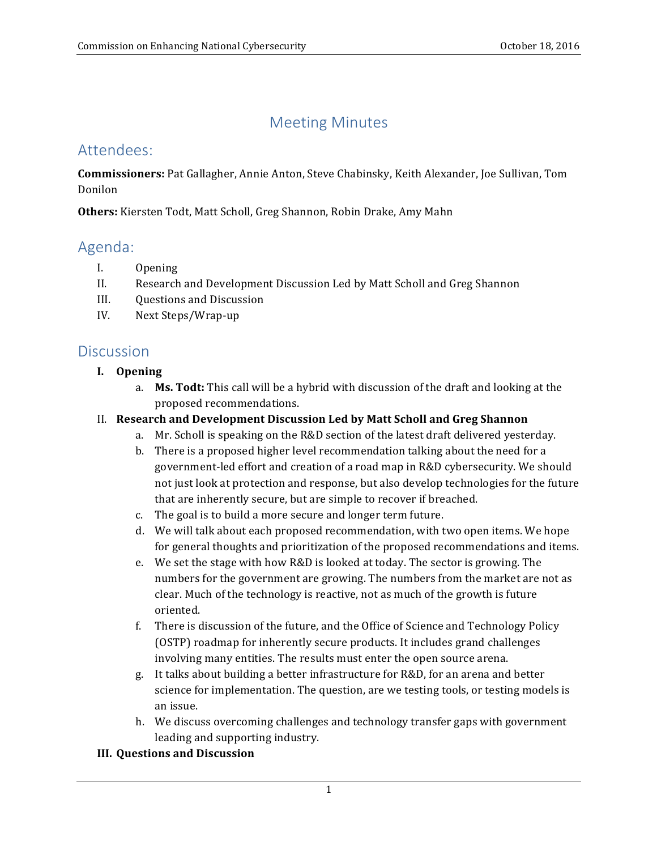# Meeting Minutes

## Attendees:

 **Commissioners:** Pat Gallagher, Annie Anton, Steve Chabinsky, Keith Alexander, Joe Sullivan, Tom Donilon

**Others:** Kiersten Todt, Matt Scholl, Greg Shannon, Robin Drake, Amy Mahn

## Agenda:

- I. Opening
- II. Research and Development Discussion Led by Matt Scholl and Greg Shannon
- III. Questions and Discussion
- IV. Next Steps/Wrap-up

### **Discussion**

#### **I. Opening**

a. Ms. Todt: This call will be a hybrid with discussion of the draft and looking at the proposed recommendations.

#### II. **Research and Development Discussion Led by Matt Scholl and Greg Shannon**

- a. Mr. Scholl is speaking on the R&D section of the latest draft delivered yesterday.
- b. There is a proposed higher level recommendation talking about the need for a government-led effort and creation of a road map in R&D cybersecurity. We should not just look at protection and response, but also develop technologies for the future that are inherently secure, but are simple to recover if breached.
- c. The goal is to build a more secure and longer term future.
- d. We will talk about each proposed recommendation, with two open items. We hope for general thoughts and prioritization of the proposed recommendations and items.
- e. We set the stage with how R&D is looked at today. The sector is growing. The numbers for the government are growing. The numbers from the market are not as clear. Much of the technology is reactive, not as much of the growth is future oriented.
- f. There is discussion of the future, and the Office of Science and Technology Policy (OSTP) roadmap for inherently secure products. It includes grand challenges involving many entities. The results must enter the open source arena.
- g. It talks about building a better infrastructure for R&D, for an arena and better science for implementation. The question, are we testing tools, or testing models is an issue.
- h. We discuss overcoming challenges and technology transfer gaps with government leading and supporting industry.

#### **III. Questions and Discussion**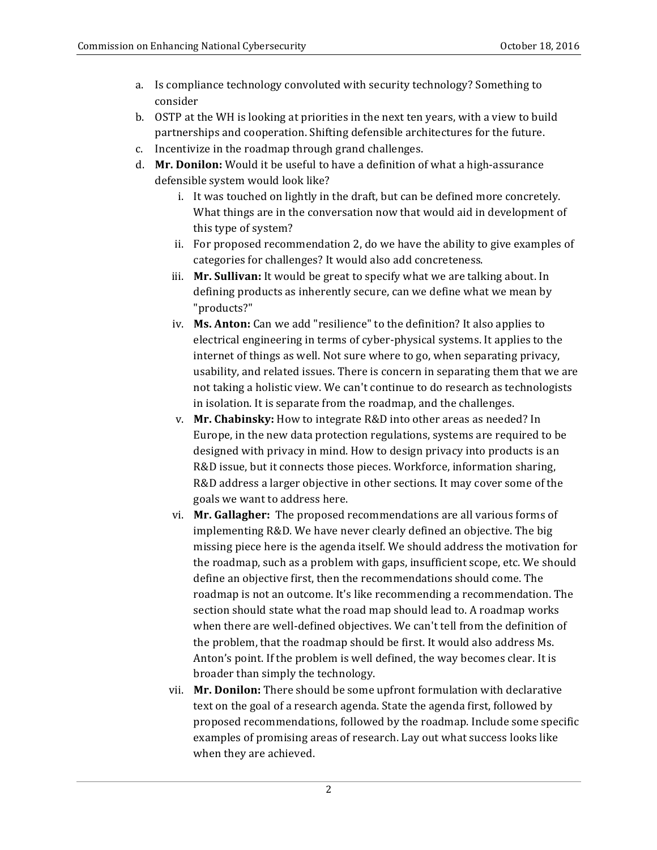- a. Is compliance technology convoluted with security technology? Something to consider
- b. OSTP at the WH is looking at priorities in the next ten years, with a view to build partnerships and cooperation. Shifting defensible architectures for the future.
- c. Incentivize in the roadmap through grand challenges.
- d. Mr. Donilon: Would it be useful to have a definition of what a high-assurance defensible system would look like?
	- i. It was touched on lightly in the draft, but can be defined more concretely. What things are in the conversation now that would aid in development of this type of system?
	- ii. For proposed recommendation 2, do we have the ability to give examples of categories for challenges? It would also add concreteness.
	- iii. Mr. Sullivan: It would be great to specify what we are talking about. In defining products as inherently secure, can we define what we mean by "products?"
	- iv. **Ms. Anton:** Can we add "resilience" to the definition? It also applies to electrical engineering in terms of cyber-physical systems. It applies to the internet of things as well. Not sure where to go, when separating privacy, usability, and related issues. There is concern in separating them that we are not taking a holistic view. We can't continue to do research as technologists in isolation. It is separate from the roadmap, and the challenges.
	- v. Mr. Chabinsky: How to integrate R&D into other areas as needed? In Europe, in the new data protection regulations, systems are required to be designed with privacy in mind. How to design privacy into products is an R&D issue, but it connects those pieces. Workforce, information sharing, R&D address a larger objective in other sections. It may cover some of the goals we want to address here.
	- vi. **Mr. Gallagher:** The proposed recommendations are all various forms of implementing R&D. We have never clearly defined an objective. The big missing piece here is the agenda itself. We should address the motivation for the roadmap, such as a problem with gaps, insufficient scope, etc. We should define an objective first, then the recommendations should come. The roadmap is not an outcome. It's like recommending a recommendation. The section should state what the road map should lead to. A roadmap works when there are well-defined objectives. We can't tell from the definition of the problem, that the roadmap should be first. It would also address Ms. Anton's point. If the problem is well defined, the way becomes clear. It is broader than simply the technology.
	- vii. **Mr. Donilon:** There should be some upfront formulation with declarative text on the goal of a research agenda. State the agenda first, followed by proposed recommendations, followed by the roadmap. Include some specific examples of promising areas of research. Lay out what success looks like when they are achieved.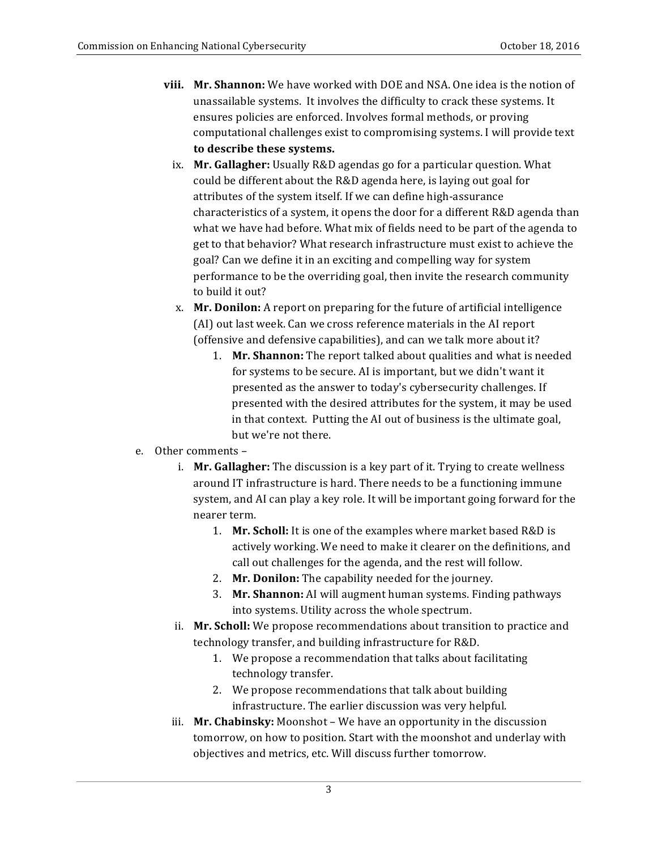- **viii. Mr. Shannon:** We have worked with DOE and NSA. One idea is the notion of unassailable systems. It involves the difficulty to crack these systems. It ensures policies are enforced. Involves formal methods, or proving computational challenges exist to compromising systems. I will provide text  **to describe these systems.**
- ix. Mr. Gallagher: Usually R&D agendas go for a particular question. What could be different about the R&D agenda here, is laying out goal for attributes of the system itself. If we can define high-assurance characteristics of a system, it opens the door for a different R&D agenda than what we have had before. What mix of fields need to be part of the agenda to get to that behavior? What research infrastructure must exist to achieve the goal? Can we define it in an exciting and compelling way for system performance to be the overriding goal, then invite the research community to build it out?
- x. **Mr. Donilon:** A report on preparing for the future of artificial intelligence (AI) out last week. Can we cross reference materials in the AI report (offensive and defensive capabilities), and can we talk more about it?
	- 1. Mr. Shannon: The report talked about qualities and what is needed for systems to be secure. AI is important, but we didn't want it presented as the answer to today's cybersecurity challenges. If presented with the desired attributes for the system, it may be used in that context. Putting the AI out of business is the ultimate goal, but we're not there.
- e. Other comments
	- i. Mr. Gallagher: The discussion is a key part of it. Trying to create wellness around IT infrastructure is hard. There needs to be a functioning immune system, and AI can play a key role. It will be important going forward for the nearer term.
		- 1. Mr. Scholl: It is one of the examples where market based R&D is actively working. We need to make it clearer on the definitions, and call out challenges for the agenda, and the rest will follow.
		- 2. **Mr. Donilon:** The capability needed for the journey.
		- 3. **Mr. Shannon:** AI will augment human systems. Finding pathways into systems. Utility across the whole spectrum.
	- ii. Mr. Scholl: We propose recommendations about transition to practice and technology transfer, and building infrastructure for R&D.
		- 1. We propose a recommendation that talks about facilitating technology transfer.
		- 2. We propose recommendations that talk about building infrastructure. The earlier discussion was very helpful.
	- iii. **Mr. Chabinsky:** Moonshot We have an opportunity in the discussion tomorrow, on how to position. Start with the moonshot and underlay with objectives and metrics, etc. Will discuss further tomorrow.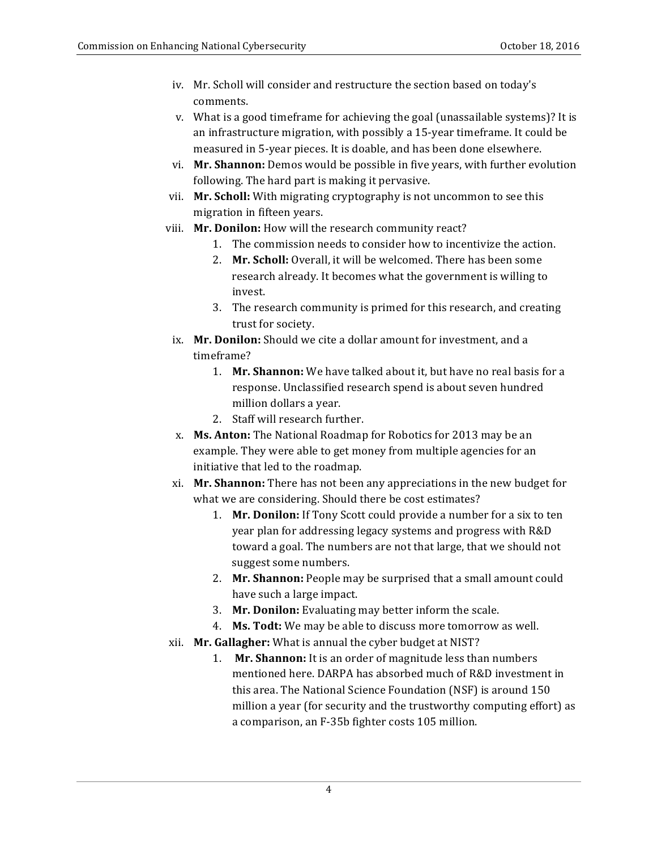- iv. Mr. Scholl will consider and restructure the section based on today's comments.
- v. What is a good timeframe for achieving the goal (unassailable systems)? It is an infrastructure migration, with possibly a 15-year timeframe. It could be measured in 5-year pieces. It is doable, and has been done elsewhere.
- vi. **Mr. Shannon:** Demos would be possible in five years, with further evolution following. The hard part is making it pervasive.
- vii. **Mr. Scholl:** With migrating cryptography is not uncommon to see this migration in fifteen years.
- viii. **Mr. Donilon:** How will the research community react?
	- 1. The commission needs to consider how to incentivize the action.
	- 2. Mr. Scholl: Overall, it will be welcomed. There has been some research already. It becomes what the government is willing to invest.
	- 3. The research community is primed for this research, and creating trust for society.
	- ix. Mr. Donilon: Should we cite a dollar amount for investment, and a timeframe?
		- 1. **Mr. Shannon:** We have talked about it, but have no real basis for a response. Unclassified research spend is about seven hundred million dollars a year.
		- 2. Staff will research further.
	- x. **Ms. Anton:** The National Roadmap for Robotics for 2013 may be an example. They were able to get money from multiple agencies for an initiative that led to the roadmap.
- xi. **Mr. Shannon:** There has not been any appreciations in the new budget for what we are considering. Should there be cost estimates?
	- 1. **Mr. Donilon:** If Tony Scott could provide a number for a six to ten year plan for addressing legacy systems and progress with R&D toward a goal. The numbers are not that large, that we should not suggest some numbers.
	- 2. Mr. Shannon: People may be surprised that a small amount could have such a large impact.
	- 3. **Mr. Donilon:** Evaluating may better inform the scale.
	- 4. **Ms. Todt:** We may be able to discuss more tomorrow as well.
- xii. **Mr. Gallagher:** What is annual the cyber budget at NIST?
	- 1. **Mr. Shannon:** It is an order of magnitude less than numbers mentioned here. DARPA has absorbed much of R&D investment in this area. The National Science Foundation (NSF) is around 150 a comparison, an F-35b fighter costs 105 million. million a year (for security and the trustworthy computing effort) as